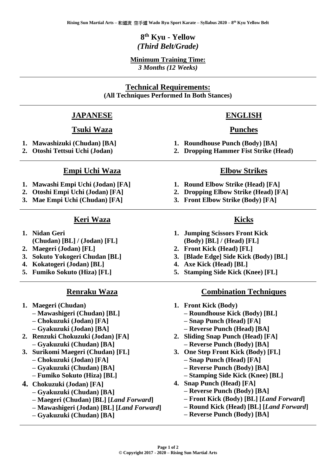# **8 th Kyu - Yellow** *(Third Belt/Grade)*

#### **Minimum Training Time:** *3 Months (12 Weeks)*

# **Technical Requirements:**

**(All Techniques Performed In Both Stances)**

#### **JAPANESE**

#### **Tsuki Waza**

- **1. Mawashizuki (Chudan) [BA]**
- **2. Otoshi Tettsui Uchi (Jodan)**

#### **Empi Uchi Waza**

- **1. Mawashi Empi Uchi (Jodan) [FA]**
- **2. Otoshi Empi Uchi (Jodan) [FA]**
- **3. Mae Empi Uchi (Chudan) [FA]**

#### **Keri Waza**

- **1. Nidan Geri (Chudan) [BL] / (Jodan) [FL]**
- **2. Maegeri (Jodan) [FL]**
- **3. Sokuto Yokogeri Chudan [BL]**
- **4. Kokatogeri (Jodan) [BL]**
- **5. Fumiko Sokuto (Hiza) [FL]**

# **Renraku Waza**

- **1. Maegeri (Chudan)** 
	- **– Mawashigeri (Chudan) [BL]**
	- **– Chokuzuki (Jodan) [FA]**
	- **– Gyakuzuki (Jodan) [BA]**
- **2. Renzuki Chokuzuki (Jodan) [FA] – Gyakuzuki (Chudan) [BA]**
- **3. Surikomi Maegeri (Chudan) [FL] – Chokuzuki (Jodan) [FA]**
	- **– Gyakuzuki (Chudan) [BA]**
	- **– Fumiko Sokuto (Hiza) [BL]**
- **4. Chokuzuki (Jodan) [FA]** 
	- **– Gyakuzuki (Chudan) [BA]**
	- **– Maegeri (Chudan) [BL] [***Land Forward***]**
	- **– Mawashigeri (Jodan) [BL] [***Land Forward***]**
	- **– Gyakuzuki (Chudan) [BA]**

# **ENGLISH**

#### **Punches**

- **1. Roundhouse Punch (Body) [BA]**
- **2. Dropping Hammer Fist Strike (Head)**

#### **Elbow Strikes**

- **1. Round Elbow Strike (Head) [FA]**
- **2. Dropping Elbow Strike (Head) [FA]**
- **3. Front Elbow Strike (Body) [FA]**

# **Kicks**

- **1. Jumping Scissors Front Kick (Body) [BL] / (Head) [FL]**
- **2. Front Kick (Head) [FL]**
- **3. [Blade Edge] Side Kick (Body) [BL]**
- **4. Axe Kick (Head) [BL]**
- **5. Stamping Side Kick (Knee) [FL]**

#### **Combination Techniques**

- **1. Front Kick (Body)** 
	- **– Roundhouse Kick (Body) [BL]**
	- **– Snap Punch (Head) [FA]**
	- **– Reverse Punch (Head) [BA]**
- **2. Sliding Snap Punch (Head) [FA] – Reverse Punch (Body) [BA]**
- **3. One Step Front Kick (Body) [FL]** 
	- **– Snap Punch (Head) [FA]**
	- **– Reverse Punch (Body) [BA]**
	- **– Stamping Side Kick (Knee) [BL]**
- **4. Snap Punch (Head) [FA]** 
	- **– Reverse Punch (Body) [BA]**
	- **– Front Kick (Body) [BL] [***Land Forward***]**
	- **– Round Kick (Head) [BL] [***Land Forward***]**
	- **– Reverse Punch (Body) [BA]**